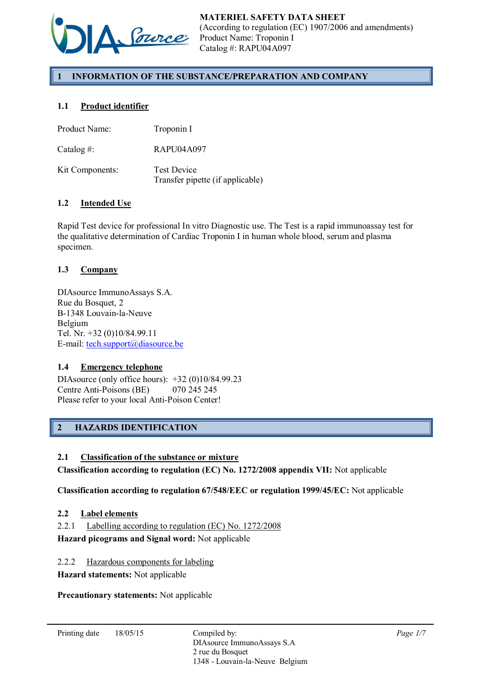

# 1 INFORMATION OF THE SUBSTANCE/PREPARATION AND COMPANY

# 1.1 Product identifier

| Product Name:   | Troponin I                                             |
|-----------------|--------------------------------------------------------|
| Catalog #:      | RAPU04A097                                             |
| Kit Components: | <b>Test Device</b><br>Transfer pipette (if applicable) |

## 1.2 Intended Use

Rapid Test device for professional In vitro Diagnostic use. The Test is a rapid immunoassay test for the qualitative determination of Cardiac Troponin I in human whole blood, serum and plasma specimen.

### 1.3 Company

DIAsource ImmunoAssays S.A. Rue du Bosquet, 2 B-1348 Louvain-la-Neuve Belgium Tel. Nr. +32 (0)10/84.99.11 E-mail: tech.support@diasource.be

## 1.4 Emergency telephone

DIAsource (only office hours): +32 (0)10/84.99.23 Centre Anti-Poisons (BE) 070 245 245 Please refer to your local Anti-Poison Center!

# 2 HAZARDS IDENTIFICATION

#### 2.1 Classification of the substance or mixture

Classification according to regulation (EC) No. 1272/2008 appendix VII: Not applicable

Classification according to regulation 67/548/EEC or regulation 1999/45/EC: Not applicable

### 2.2 Label elements

2.2.1 Labelling according to regulation (EC) No. 1272/2008

Hazard picograms and Signal word: Not applicable

2.2.2 Hazardous components for labeling

Hazard statements: Not applicable

Precautionary statements: Not applicable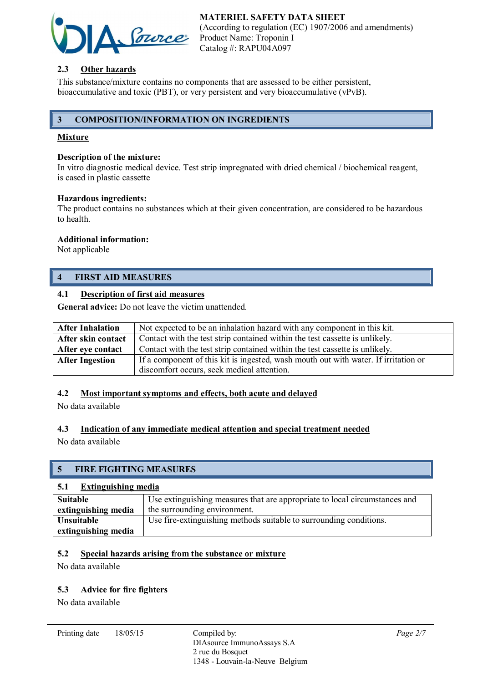# MATERIEL SAFETY DATA SHEET



(According to regulation (EC) 1907/2006 and amendments) Product Name: Troponin I Catalog #: RAPU04A097

## 2.3 Other hazards

This substance/mixture contains no components that are assessed to be either persistent, bioaccumulative and toxic (PBT), or very persistent and very bioaccumulative (vPvB).

## 3 COMPOSITION/INFORMATION ON INGREDIENTS

## Mixture

### Description of the mixture:

In vitro diagnostic medical device. Test strip impregnated with dried chemical / biochemical reagent, is cased in plastic cassette

#### Hazardous ingredients:

The product contains no substances which at their given concentration, are considered to be hazardous to health.

### Additional information:

Not applicable

# 4 FIRST AID MEASURES

## 4.1 Description of first aid measures

General advice: Do not leave the victim unattended.

| <b>After Inhalation</b> | Not expected to be an inhalation hazard with any component in this kit.             |
|-------------------------|-------------------------------------------------------------------------------------|
| After skin contact      | Contact with the test strip contained within the test cassette is unlikely.         |
| After eye contact       | Contact with the test strip contained within the test cassette is unlikely.         |
| <b>After Ingestion</b>  | If a component of this kit is ingested, wash mouth out with water. If irritation or |
|                         | discomfort occurs, seek medical attention.                                          |

## 4.2 Most important symptoms and effects, both acute and delayed

No data available

## 4.3 Indication of any immediate medical attention and special treatment needed

No data available

# 5 FIRE FIGHTING MEASURES

#### 5.1 Extinguishing media

| Suitable            | Use extinguishing measures that are appropriate to local circumstances and |
|---------------------|----------------------------------------------------------------------------|
| extinguishing media | the surrounding environment.                                               |
| Unsuitable          | Use fire-extinguishing methods suitable to surrounding conditions.         |
| extinguishing media |                                                                            |

### 5.2 Special hazards arising from the substance or mixture

No data available

## 5.3 Advice for fire fighters

No data available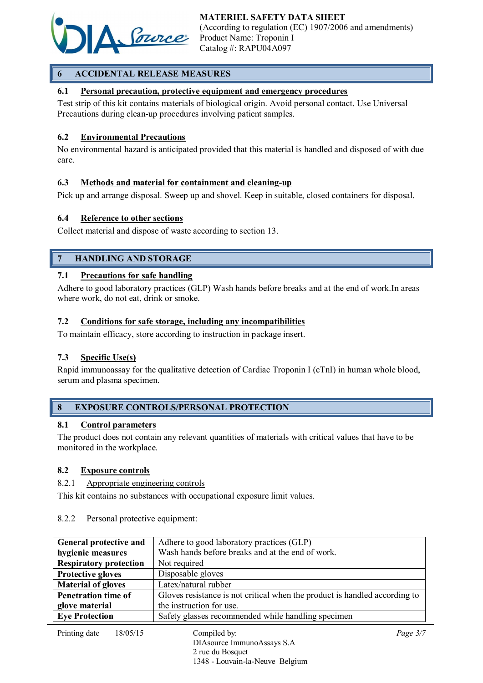

# 6 ACCIDENTAL RELEASE MEASURES

## 6.1 Personal precaution, protective equipment and emergency procedures

Test strip of this kit contains materials of biological origin. Avoid personal contact. Use Universal Precautions during clean-up procedures involving patient samples.

### 6.2 Environmental Precautions

No environmental hazard is anticipated provided that this material is handled and disposed of with due care.

## 6.3 Methods and material for containment and cleaning-up

Pick up and arrange disposal. Sweep up and shovel. Keep in suitable, closed containers for disposal.

### 6.4 Reference to other sections

Collect material and dispose of waste according to section 13.

## 7 HANDLING AND STORAGE

### 7.1 Precautions for safe handling

Adhere to good laboratory practices (GLP) Wash hands before breaks and at the end of work.In areas where work, do not eat, drink or smoke.

### 7.2 Conditions for safe storage, including any incompatibilities

To maintain efficacy, store according to instruction in package insert.

## 7.3 Specific Use(s)

Rapid immunoassay for the qualitative detection of Cardiac Troponin I (cTnI) in human whole blood, serum and plasma specimen.

## 8 EXPOSURE CONTROLS/PERSONAL PROTECTION

#### 8.1 Control parameters

The product does not contain any relevant quantities of materials with critical values that have to be monitored in the workplace.

#### 8.2 Exposure controls

### 8.2.1 Appropriate engineering controls

This kit contains no substances with occupational exposure limit values.

#### 8.2.2 Personal protective equipment:

| General protective and                                                                                   | Adhere to good laboratory practices (GLP)          |  |
|----------------------------------------------------------------------------------------------------------|----------------------------------------------------|--|
| hygienic measures                                                                                        | Wash hands before breaks and at the end of work.   |  |
| <b>Respiratory protection</b>                                                                            | Not required                                       |  |
| <b>Protective gloves</b>                                                                                 | Disposable gloves                                  |  |
| <b>Material of gloves</b>                                                                                | Latex/natural rubber                               |  |
| Gloves resistance is not critical when the product is handled according to<br><b>Penetration time of</b> |                                                    |  |
| glove material                                                                                           | the instruction for use.                           |  |
| <b>Eye Protection</b>                                                                                    | Safety glasses recommended while handling specimen |  |
| Printing date<br>18/05/15                                                                                | Compiled by:<br>Page $3/7$                         |  |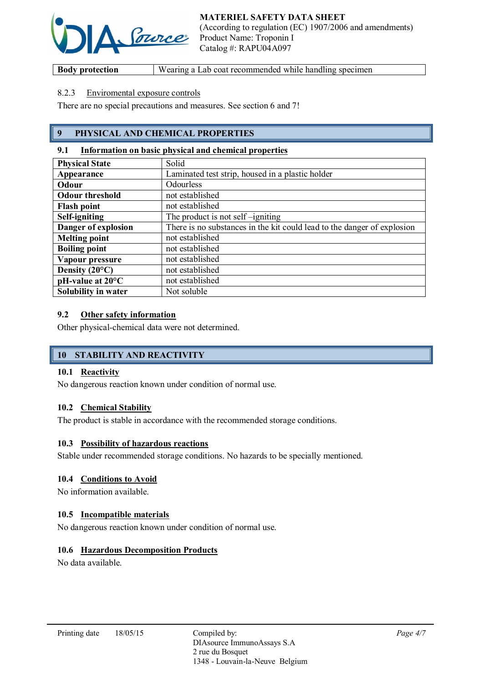

**Body protection** Wearing a Lab coat recommended while handling specimen

## 8.2.3 Enviromental exposure controls

There are no special precautions and measures. See section 6 and 7!

# 9 PHYSICAL AND CHEMICAL PROPERTIES

### 9.1 Information on basic physical and chemical properties

| <b>Physical State</b>        | Solid                                                                   |
|------------------------------|-------------------------------------------------------------------------|
| Appearance                   | Laminated test strip, housed in a plastic holder                        |
| Odour                        | Odourless                                                               |
| <b>Odour threshold</b>       | not established                                                         |
| <b>Flash point</b>           | not established                                                         |
| Self-igniting                | The product is not self-igniting                                        |
| Danger of explosion          | There is no substances in the kit could lead to the danger of explosion |
| <b>Melting point</b>         | not established                                                         |
| <b>Boiling point</b>         | not established                                                         |
| Vapour pressure              | not established                                                         |
| Density $(20^{\circ}C)$      | not established                                                         |
| $pH$ -value at $20^{\circ}C$ | not established                                                         |
| Solubility in water          | Not soluble                                                             |

### 9.2 Other safety information

Other physical-chemical data were not determined.

# 10 STABILITY AND REACTIVITY

### 10.1 Reactivity

No dangerous reaction known under condition of normal use.

## 10.2 Chemical Stability

The product is stable in accordance with the recommended storage conditions.

#### 10.3 Possibility of hazardous reactions

Stable under recommended storage conditions. No hazards to be specially mentioned.

#### 10.4 Conditions to Avoid

No information available.

## 10.5 Incompatible materials

No dangerous reaction known under condition of normal use.

## 10.6 Hazardous Decomposition Products

No data available.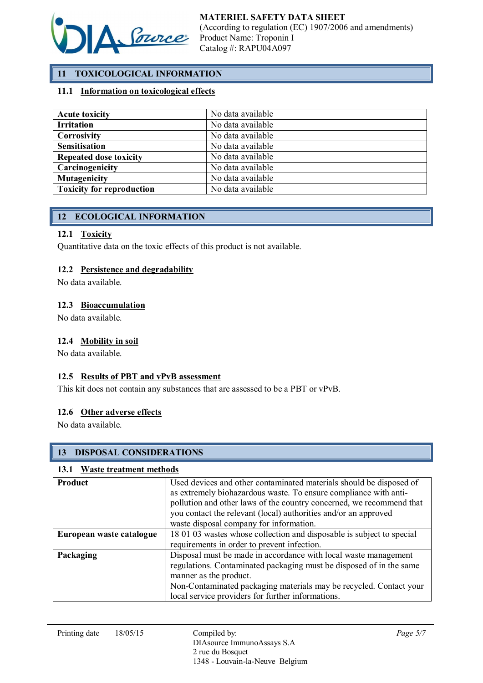

# 11 TOXICOLOGICAL INFORMATION

## 11.1 Information on toxicological effects

| <b>Acute toxicity</b>            | No data available |
|----------------------------------|-------------------|
| <b>Irritation</b>                | No data available |
| Corrosivity                      | No data available |
| <b>Sensitisation</b>             | No data available |
| <b>Repeated dose toxicity</b>    | No data available |
| Carcinogenicity                  | No data available |
| <b>Mutagenicity</b>              | No data available |
| <b>Toxicity for reproduction</b> | No data available |

# 12 ECOLOGICAL INFORMATION

### 12.1 Toxicity

Quantitative data on the toxic effects of this product is not available.

### 12.2 Persistence and degradability

No data available.

### 12.3 Bioaccumulation

No data available.

### 12.4 Mobility in soil

No data available.

## 12.5 Results of PBT and vPvB assessment

This kit does not contain any substances that are assessed to be a PBT or vPvB.

#### 12.6 Other adverse effects

No data available.

## 13 DISPOSAL CONSIDERATIONS

#### 13.1 Waste treatment methods

| <b>Product</b>           | Used devices and other contaminated materials should be disposed of<br>as extremely biohazardous waste. To ensure compliance with anti-<br>pollution and other laws of the country concerned, we recommend that<br>you contact the relevant (local) authorities and/or an approved<br>waste disposal company for information. |
|--------------------------|-------------------------------------------------------------------------------------------------------------------------------------------------------------------------------------------------------------------------------------------------------------------------------------------------------------------------------|
| European waste catalogue | 18 01 03 wastes whose collection and disposable is subject to special                                                                                                                                                                                                                                                         |
|                          | requirements in order to prevent infection.                                                                                                                                                                                                                                                                                   |
| Packaging                | Disposal must be made in accordance with local waste management<br>regulations. Contaminated packaging must be disposed of in the same<br>manner as the product.<br>Non-Contaminated packaging materials may be recycled. Contact your                                                                                        |
|                          | local service providers for further informations.                                                                                                                                                                                                                                                                             |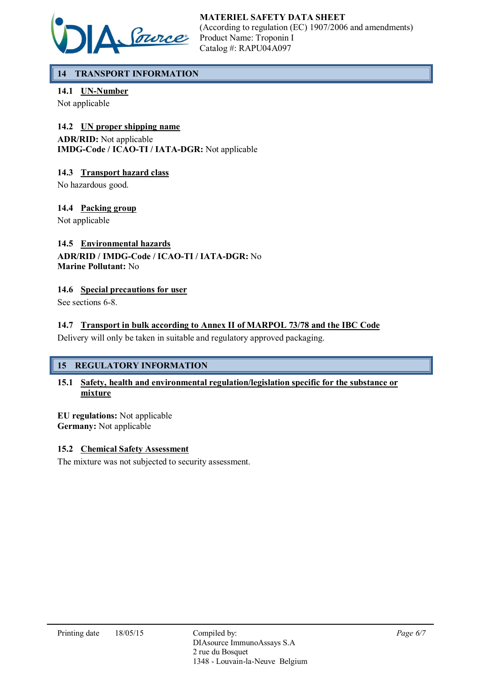

# 14 TRANSPORT INFORMATION

14.1 UN-Number

Not applicable

## 14.2 UN proper shipping name

ADR/RID: Not applicable IMDG-Code / ICAO-TI / IATA-DGR: Not applicable

## 14.3 Transport hazard class

No hazardous good.

# 14.4 Packing group

Not applicable

# 14.5 Environmental hazards

## ADR/RID / IMDG-Code / ICAO-TI / IATA-DGR: No Marine Pollutant: No

## 14.6 Special precautions for user

See sections 6-8.

# 14.7 Transport in bulk according to Annex II of MARPOL 73/78 and the IBC Code

Delivery will only be taken in suitable and regulatory approved packaging.

# 15 REGULATORY INFORMATION

## 15.1 Safety, health and environmental regulation/legislation specific for the substance or mixture

EU regulations: Not applicable Germany: Not applicable

## 15.2 Chemical Safety Assessment

The mixture was not subjected to security assessment.